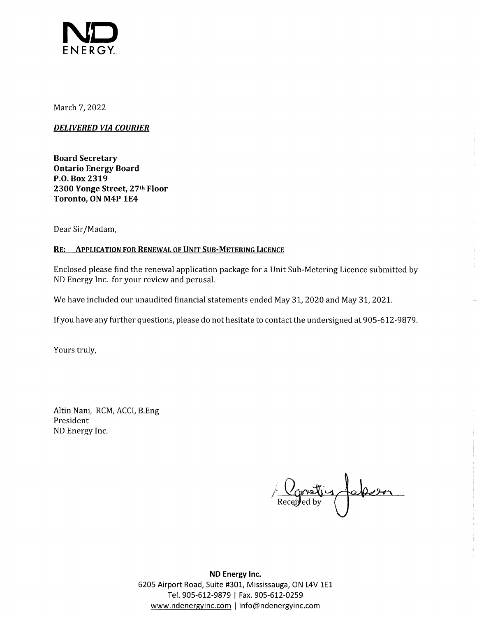

March 7, 2022

*DELIVERED VIA COURIER* 

**Board Secretary Ontario Energy Board P.O. Box 2319 2300 Yonge Street, 27th Floor Toronto, ON M4P 1E4** 

Dear Sir/Madam,

#### **RE: APPLICATION FOR RENEWAL OF UNIT SUB-METERING LICENCE**

Enclosed please find the renewal application package for a Unit Sub-Metering Licence submitted by ND Energy Inc. for your review and perusal.

We have included our unaudited financial statements ended May 31, 2020 and May 31, 2021.

If you have any further questions, please do not hesitate to contact the undersigned at 905-612-9879.

Yours truly,

Altin Nani, RCM, ACCI, B.Eng President ND Energy Inc.

Received by Colesson

**ND Energy Inc.**  6205 Airport Road, Suite #301, Mississauga, ON L4V 1E1 Tel. 905-612-9879 | Fax. 905-612-0259 www.ndenergyinc.com I info@ndenergyinc.com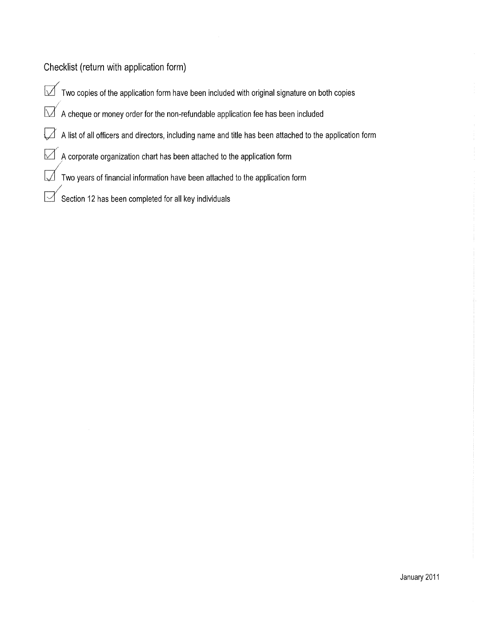Checklist (return with application form)

/

 $\overline{\bigtriangledown}$  Two copies of the application form have been included with original signature on both copies

 $\mathbin{\boxdot}$  A cheque or money order for the non-refundable application fee has been included

 $\Box$  A list of all officers and directors, including name and title has been attached to the application form

 $\Box$  A corporate organization chart has been attached to the application form

 $\Box$  Two years of financial information have been attached to the application form

Section 12 has been completed for all key individuals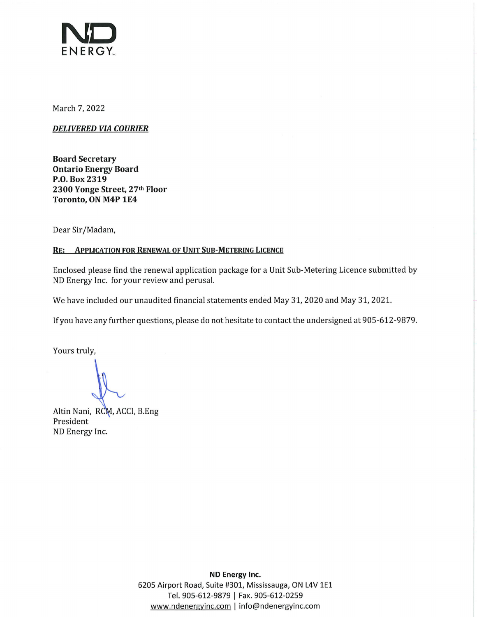

March 7, 2022

*DELIVERED VIA COURIER* 

**Board Secretary Ontario Energy Board P.O. Box 2319 2300 Yonge Street, 27th Floor Toronto, ON M4P 1E4** 

Dear Sir/Madam,

#### **RE: APPLICATION FOR RENEWAL OF UNIT SUB-METERING LICENCE**

Enclosed please find the renewal application package for a Unit Sub-Metering Licence submitted by ND Energy Inc. for your review and perusal.

We have included our unaudited financial statements ended May 31, 2020 and May 31, 2021.

If you have any further questions, please do not hesitate to contact the undersigned at 905-612-9879.

Yours truly,

Altin Nani, RCM, ACCI, B.Eng President ND Energy Inc.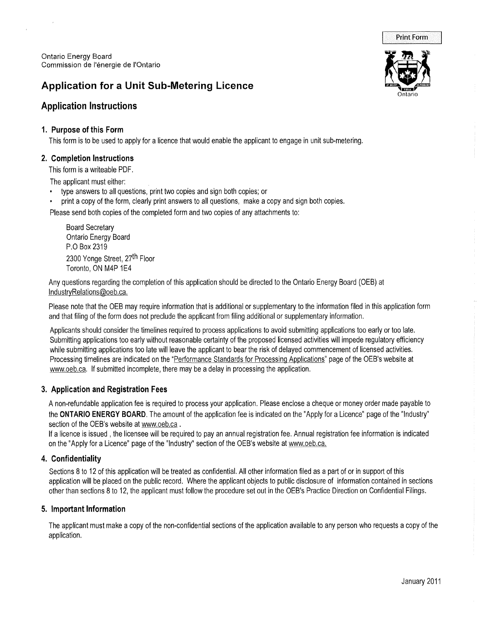Ontario Energy Board Commission de l'energie de !'Ontario

# **Application for a Unit Sub-Metering Licence**

# **Application Instructions**

#### **1. Purpose of this Form**

 $\epsilon$ 

This form is to be used to apply for a licence that would enable the applicant to engage in unit sub-metering.

## **2. Completion Instructions**

This form is a writeable PDF.

The applicant must either:

- type answers to all questions, print two copies and sign both copies; or
- print a copy of the form, clearly print answers to all questions, make a copy and sign both copies.

Please send both copies of the completed form and two copies of any attachments to:

Board Secretary Ontario Energy Board P.O Box 2319 2300 Yonge Street, 27th Floor Toronto, ON M4P 1E4

Any questions regarding the completion of this application should be directed to the Ontario Energy Board (OEB) at lndustryRelations@oeb.ca.

Please note that the OEB may require information that is additional or supplementary to the information filed in this application form and that filing of the form does not preclude the applicant from filing additional or supplementary information.

Applicants should consider the timelines required to process applications to avoid submitting applications too early or too late. Submitting applications too early without reasonable certainty of the proposed licensed activities will impede regulatory efficiency while submitting applications too late will leave the applicant to bear the risk of delayed commencement of licensed activities. Processing timelines are indicated on the "Performance Standards for Processing Applications" page of the OEB's website at www.oeb.ca. If submitted incomplete, there may be a delay in processing the application.

#### **3. Application and Registration Fees**

A non-refundable application fee is required to process your application. Please enclose a cheque or money order made payable to the **ONTARIO ENERGY BOARD.** The amount of the application fee is indicated on the "Apply for a Licence" page of the "Industry" section of the OEB's website at www.oeb.ca.

If a licence is issued , the licensee will be required to pay an annual registration fee. Annual registration fee information is indicated on the "Apply for a Licence" page of the "Industry" section of the OEB's website at www.oeb.ca.

# **4. Confidentiality**

Sections 8 to 12 of this application will be treated as confidential. All other information filed as a part of or in support of this application will be placed on the public record. Where the applicant objects to public disclosure of information contained in sections other than sections 8 to 12, the applicant must follow the procedure set out in the OEB's Practice Direction on Confidential Filings.

#### **5. Important Information**

The applicant must make a copy of the non-confidential sections of the application available to any person who requests a copy of the application.



Print Form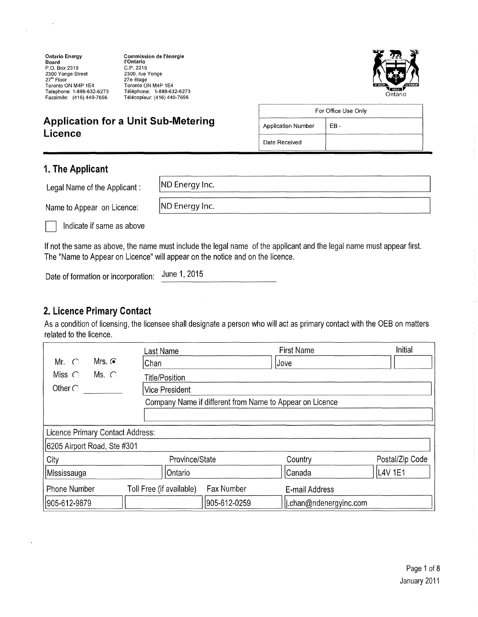**Ontario Energy Board<br>P.O. Box 2319<br>2300 Yonge Street<br>27<sup>th</sup> Floor** Toronto ON M4P 1E4 Telephone: 1-888-632-6273 Facsimile: (416) 440-7656

**Commission de l'energie !'Ontario**  C.P. 2319 2300, rue Yonge 27e etage Toronto ON M4P 1E4 Telephone: 1-888-632-6273 Telecopieur: (416) 440-7656



# **Application for a Unit Sub-Metering Licence**

|                                   | For Office Use Only |  |
|-----------------------------------|---------------------|--|
| <b>Application Number</b><br>FR - |                     |  |
| Date Received                     |                     |  |

#### **1. The Applicant**

| Legal Name of the Applicant: | ND Energy Inc. |
|------------------------------|----------------|
| Name to Appear on Licence:   | ND Energy Inc. |
| Indicate if same as above    |                |

If not the same as above, the name must include the legal name of the applicant and the legal name must appear first. The "Name to Appear on Licence" will appear on the notice and on the licence.

Date of formation or incorporation: June 1, 2015

#### **2. Licence Primary Contact**

As a condition of licensing, the licensee shall designate a person who will act as primary contact with the OEB on matters related to the licence.

|                                                          | ast Name                               | <b>First Name</b>      | <b>Initial</b>  |  |
|----------------------------------------------------------|----------------------------------------|------------------------|-----------------|--|
| Mrs. $\odot$<br>Mr. $\bigcirc$                           | Chan                                   | Jove                   |                 |  |
| Miss $\bigcirc$<br>Ms. $\bigcirc$                        | <b>Title/Position</b>                  |                        |                 |  |
| Other $\bigcirc$                                         | <b>Vice President</b>                  |                        |                 |  |
| Company Name if different from Name to Appear on Licence |                                        |                        |                 |  |
|                                                          |                                        |                        |                 |  |
| Licence Primary Contact Address:                         |                                        |                        |                 |  |
| 6205 Airport Road, Ste #301                              |                                        |                        |                 |  |
| City                                                     | Province/State                         | Country                | Postal/Zip Code |  |
| Mississauga                                              | Ontario                                | Canada                 | L4V 1E1         |  |
| <b>Phone Number</b>                                      | Fax Number<br>Toll Free (if available) | E-mail Address         |                 |  |
| 905-612-9879                                             | 905-612-0259                           | i.chan@ndenergyinc.com |                 |  |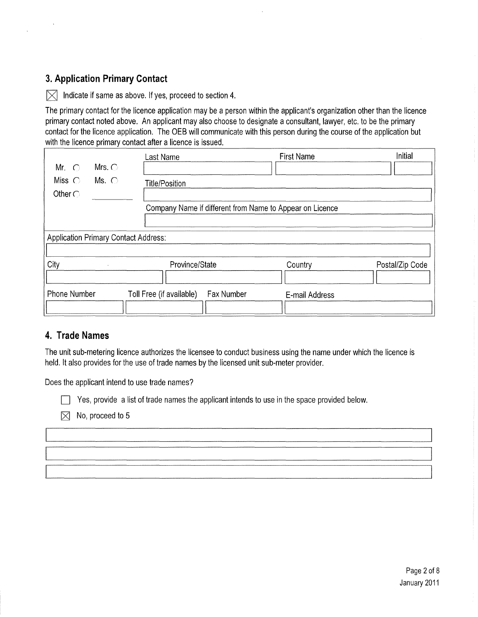# **3. Application Primary Contact**

 $\vert \times \vert$  Indicate if same as above. If yes, proceed to section 4.

The primary contact for the licence application may be a person within the applicant's organization other than the licence primary contact noted above. An applicant may also choose to designate a consultant, lawyer, etc. to be the primary contact for the licence application. The OEB will communicate with this person during the course of the application but with the licence primary contact after a licence is issued.

| Mr. $\bigcirc$                      | Mrs. $\bigcirc$                             | Last Name                                                | <b>First Name</b> | Initial         |
|-------------------------------------|---------------------------------------------|----------------------------------------------------------|-------------------|-----------------|
| Miss $\bigcirc$<br>Other $\bigcirc$ | Ms. $\bigcirc$                              | <b>Title/Position</b>                                    |                   |                 |
|                                     |                                             | Company Name if different from Name to Appear on Licence |                   |                 |
|                                     | <b>Application Primary Contact Address:</b> |                                                          |                   |                 |
| City                                |                                             | Province/State                                           | Country           | Postal/Zip Code |
| <b>Phone Number</b>                 |                                             | Toll Free (if available)<br>Fax Number                   | E-mail Address    |                 |

#### **4. Trade Names**

The unit sub-metering licence authorizes the licensee to conduct business using the name under which the licence is held. It also provides for the use of trade names by the licensed unit sub-meter provider.

Does the applicant intend to use trade names?

 $\Box$  Yes, provide a list of trade names the applicant intends to use in the space provided below.

 $\times$  No, proceed to 5

Page 2 of 8 January 2011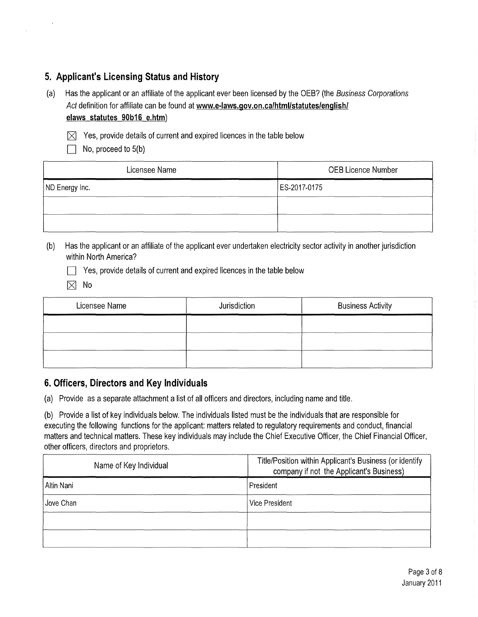## **5. Applicant's Licensing Status and History**

- (a) Has the applicant or an affiliate of the applicant ever been licensed by the OEB? (the Business Corporations Act definition for affiliate can be found at **www.e-laws.gov.on.ca/html/statutes/english/ elaws statutes 90b16 e.htm)** 
	- $\times$  Yes, provide details of current and expired licences in the table below
		- $\top$  No, proceed to 5(b)

| Licensee Name  | <b>OEB Licence Number</b> |  |
|----------------|---------------------------|--|
| ND Energy Inc. | ES-2017-0175              |  |
|                |                           |  |
|                |                           |  |

(b) Has the applicant or an affiliate of the applicant ever undertaken electricity sector activity in another jurisdiction within North America?

 $\Box$  Yes, provide details of current and expired licences in the table below

 $\times$  No

| Licensee Name | Jurisdiction | <b>Business Activity</b> |
|---------------|--------------|--------------------------|
|               |              |                          |
|               |              |                          |
|               |              |                          |

#### **6. Officers, Directors and Key Individuals**

(a) Provide as a separate attachment a list of all officers and directors, including name and title.

(b) Provide a list of key individuals below. The individuals listed must be the individuals that are responsible for executing the following functions for the applicant: matters related to regulatory requirements and conduct, financial matters and technical matters. These key individuals may include the Chief Executive Officer, the Chief Financial Officer, other officers, directors and proprietors.

| Name of Key Individual | Title/Position within Applicant's Business (or identify<br>company if not the Applicant's Business) |  |
|------------------------|-----------------------------------------------------------------------------------------------------|--|
| Altin Nani             | President                                                                                           |  |
| Jove Chan              | <b>Vice President</b>                                                                               |  |
|                        |                                                                                                     |  |
|                        |                                                                                                     |  |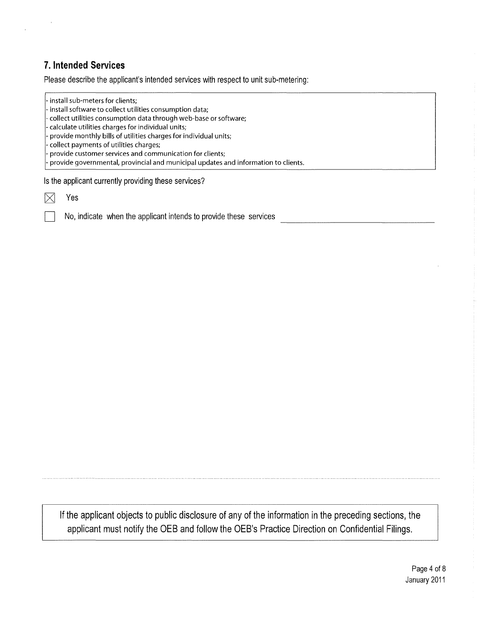# **7. Intended Services**

Please describe the applicant's intended services with respect to unit sub-metering:

- install sub-meters for clients; - install software to collect utilities consumption data; - collect utilities consumption data through web-base or software; - calculate utilities charges for individual units; - provide monthly bills of utilities charges for individual units; - collect payments of utilities charges; - provide customer services and communication for clients; - provide governmental, provincial and municipal updates and information to clients.

Is the applicant currently providing these services?

Yes

No, indicate when the applicant intends to provide these services

If the applicant objects to public disclosure of any of the information in the preceding sections, the applicant must notify the OEB and follow the OEB's Practice Direction on Confidential Filings.

> Page 4 of 8 January 2011